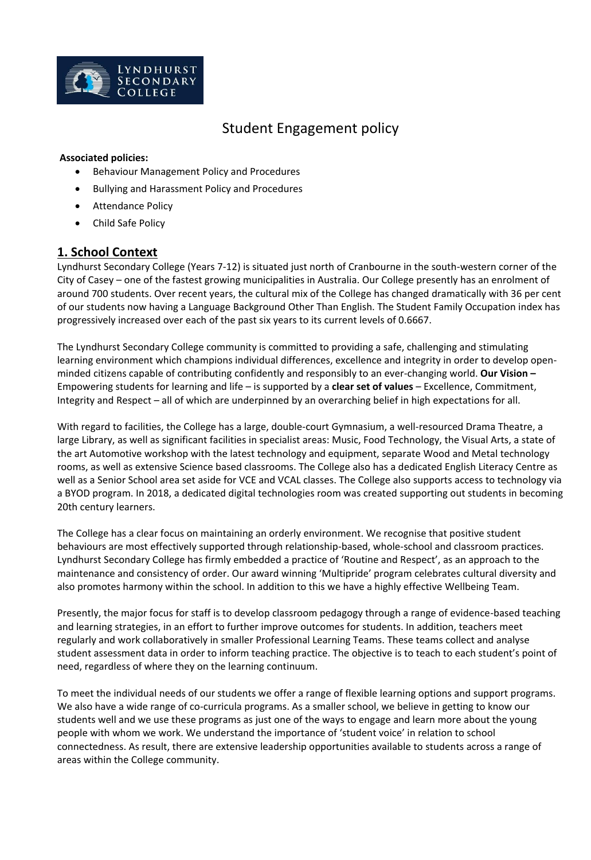

# Student Engagement policy

#### **Associated policies:**

- Behaviour Management Policy and Procedures
- Bullying and Harassment Policy and Procedures
- Attendance Policy
- Child Safe Policy

### **1. School Context**

Lyndhurst Secondary College (Years 7-12) is situated just north of Cranbourne in the south-western corner of the City of Casey – one of the fastest growing municipalities in Australia. Our College presently has an enrolment of around 700 students. Over recent years, the cultural mix of the College has changed dramatically with 36 per cent of our students now having a Language Background Other Than English. The Student Family Occupation index has progressively increased over each of the past six years to its current levels of 0.6667.

The Lyndhurst Secondary College community is committed to providing a safe, challenging and stimulating learning environment which champions individual differences, excellence and integrity in order to develop openminded citizens capable of contributing confidently and responsibly to an ever-changing world. **Our Vision –** Empowering students for learning and life – is supported by a **clear set of values** – Excellence, Commitment, Integrity and Respect – all of which are underpinned by an overarching belief in high expectations for all.

With regard to facilities, the College has a large, double-court Gymnasium, a well-resourced Drama Theatre, a large Library, as well as significant facilities in specialist areas: Music, Food Technology, the Visual Arts, a state of the art Automotive workshop with the latest technology and equipment, separate Wood and Metal technology rooms, as well as extensive Science based classrooms. The College also has a dedicated English Literacy Centre as well as a Senior School area set aside for VCE and VCAL classes. The College also supports access to technology via a BYOD program. In 2018, a dedicated digital technologies room was created supporting out students in becoming 20th century learners.

The College has a clear focus on maintaining an orderly environment. We recognise that positive student behaviours are most effectively supported through relationship-based, whole-school and classroom practices. Lyndhurst Secondary College has firmly embedded a practice of 'Routine and Respect', as an approach to the maintenance and consistency of order. Our award winning 'Multipride' program celebrates cultural diversity and also promotes harmony within the school. In addition to this we have a highly effective Wellbeing Team.

Presently, the major focus for staff is to develop classroom pedagogy through a range of evidence-based teaching and learning strategies, in an effort to further improve outcomes for students. In addition, teachers meet regularly and work collaboratively in smaller Professional Learning Teams. These teams collect and analyse student assessment data in order to inform teaching practice. The objective is to teach to each student's point of need, regardless of where they on the learning continuum.

To meet the individual needs of our students we offer a range of flexible learning options and support programs. We also have a wide range of co-curricula programs. As a smaller school, we believe in getting to know our students well and we use these programs as just one of the ways to engage and learn more about the young people with whom we work. We understand the importance of 'student voice' in relation to school connectedness. As result, there are extensive leadership opportunities available to students across a range of areas within the College community.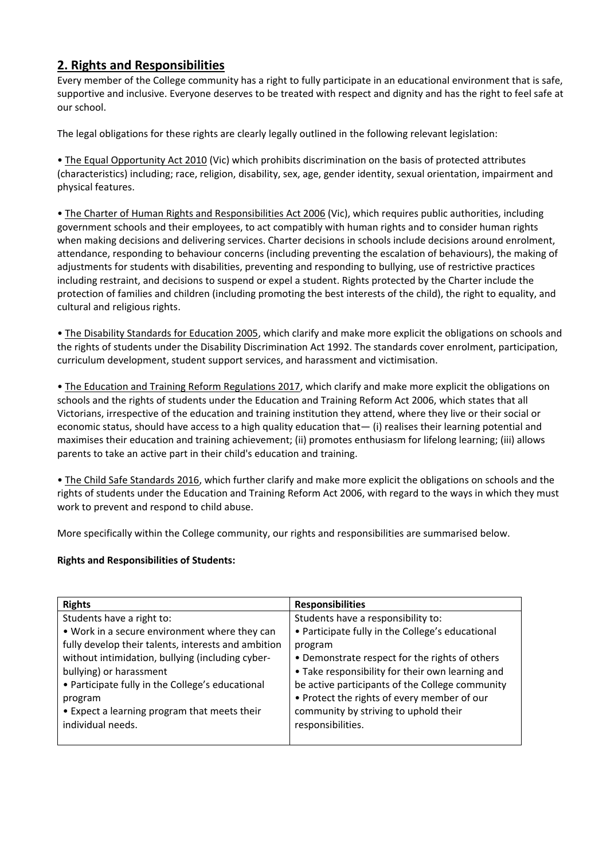# **2. Rights and Responsibilities**

Every member of the College community has a right to fully participate in an educational environment that is safe, supportive and inclusive. Everyone deserves to be treated with respect and dignity and has the right to feel safe at our school.

The legal obligations for these rights are clearly legally outlined in the following relevant legislation:

• The Equal Opportunity Act 2010 (Vic) which prohibits discrimination on the basis of protected attributes (characteristics) including; race, religion, disability, sex, age, gender identity, sexual orientation, impairment and physical features.

• The Charter of Human Rights and Responsibilities Act 2006 (Vic), which requires public authorities, including government schools and their employees, to act compatibly with human rights and to consider human rights when making decisions and delivering services. Charter decisions in schools include decisions around enrolment, attendance, responding to behaviour concerns (including preventing the escalation of behaviours), the making of adjustments for students with disabilities, preventing and responding to bullying, use of restrictive practices including restraint, and decisions to suspend or expel a student. Rights protected by the Charter include the protection of families and children (including promoting the best interests of the child), the right to equality, and cultural and religious rights.

• The Disability Standards for Education 2005, which clarify and make more explicit the obligations on schools and the rights of students under the Disability Discrimination Act 1992. The standards cover enrolment, participation, curriculum development, student support services, and harassment and victimisation.

• The Education and Training Reform Regulations 2017, which clarify and make more explicit the obligations on schools and the rights of students under the Education and Training Reform Act 2006, which states that all Victorians, irrespective of the education and training institution they attend, where they live or their social or economic status, should have access to a high quality education that— (i) realises their learning potential and maximises their education and training achievement; (ii) promotes enthusiasm for lifelong learning; (iii) allows parents to take an active part in their child's education and training.

• The Child Safe Standards 2016, which further clarify and make more explicit the obligations on schools and the rights of students under the Education and Training Reform Act 2006, with regard to the ways in which they must work to prevent and respond to child abuse.

More specifically within the College community, our rights and responsibilities are summarised below.

#### **Rights and Responsibilities of Students:**

| <b>Rights</b>                                       | <b>Responsibilities</b>                          |
|-----------------------------------------------------|--------------------------------------------------|
| Students have a right to:                           | Students have a responsibility to:               |
| . Work in a secure environment where they can       | • Participate fully in the College's educational |
| fully develop their talents, interests and ambition | program                                          |
| without intimidation, bullying (including cyber-    | • Demonstrate respect for the rights of others   |
| bullying) or harassment                             | • Take responsibility for their own learning and |
| • Participate fully in the College's educational    | be active participants of the College community  |
| program                                             | • Protect the rights of every member of our      |
| • Expect a learning program that meets their        | community by striving to uphold their            |
| individual needs.                                   | responsibilities.                                |
|                                                     |                                                  |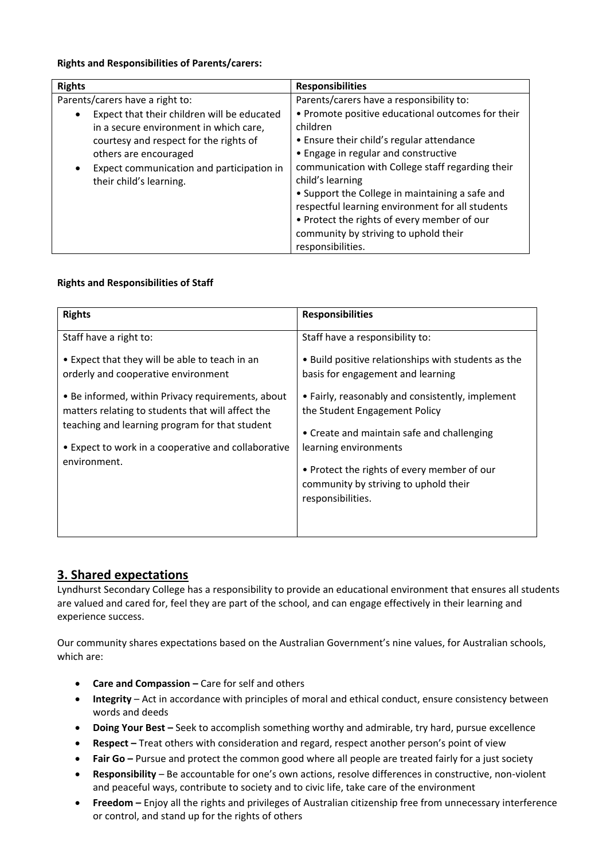#### **Rights and Responsibilities of Parents/carers:**

| <b>Rights</b>                               | <b>Responsibilities</b>                           |
|---------------------------------------------|---------------------------------------------------|
| Parents/carers have a right to:             | Parents/carers have a responsibility to:          |
| Expect that their children will be educated | • Promote positive educational outcomes for their |
| in a secure environment in which care,      | children                                          |
| courtesy and respect for the rights of      | • Ensure their child's regular attendance         |
| others are encouraged                       | • Engage in regular and constructive              |
| Expect communication and participation in   | communication with College staff regarding their  |
| their child's learning.                     | child's learning                                  |
|                                             | • Support the College in maintaining a safe and   |
|                                             | respectful learning environment for all students  |
|                                             | • Protect the rights of every member of our       |
|                                             | community by striving to uphold their             |
|                                             | responsibilities.                                 |

### **Rights and Responsibilities of Staff**

| <b>Rights</b>                                                                                          | <b>Responsibilities</b>                                                                                   |
|--------------------------------------------------------------------------------------------------------|-----------------------------------------------------------------------------------------------------------|
| Staff have a right to:                                                                                 | Staff have a responsibility to:                                                                           |
| • Expect that they will be able to teach in an<br>orderly and cooperative environment                  | • Build positive relationships with students as the<br>basis for engagement and learning                  |
| • Be informed, within Privacy requirements, about<br>matters relating to students that will affect the | • Fairly, reasonably and consistently, implement<br>the Student Engagement Policy                         |
| teaching and learning program for that student                                                         | • Create and maintain safe and challenging                                                                |
| • Expect to work in a cooperative and collaborative<br>environment.                                    | learning environments                                                                                     |
|                                                                                                        | • Protect the rights of every member of our<br>community by striving to uphold their<br>responsibilities. |
|                                                                                                        |                                                                                                           |

# **3. Shared expectations**

Lyndhurst Secondary College has a responsibility to provide an educational environment that ensures all students are valued and cared for, feel they are part of the school, and can engage effectively in their learning and experience success.

Our community shares expectations based on the Australian Government's nine values, for Australian schools, which are:

- **Care and Compassion –** Care for self and others
- **Integrity**  Act in accordance with principles of moral and ethical conduct, ensure consistency between words and deeds
- **Doing Your Best –** Seek to accomplish something worthy and admirable, try hard, pursue excellence
- **Respect –** Treat others with consideration and regard, respect another person's point of view
- Fair Go Pursue and protect the common good where all people are treated fairly for a just society
- **Responsibility**  Be accountable for one's own actions, resolve differences in constructive, non-violent and peaceful ways, contribute to society and to civic life, take care of the environment
- **Freedom –** Enjoy all the rights and privileges of Australian citizenship free from unnecessary interference or control, and stand up for the rights of others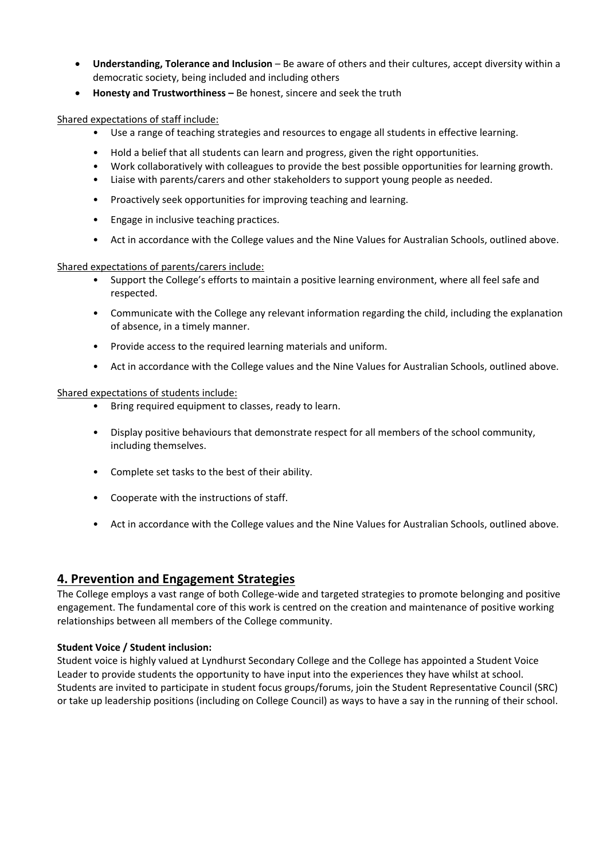- **Understanding, Tolerance and Inclusion**  Be aware of others and their cultures, accept diversity within a democratic society, being included and including others
- **Honesty and Trustworthiness –** Be honest, sincere and seek the truth

Shared expectations of staff include:

- Use a range of teaching strategies and resources to engage all students in effective learning.
- Hold a belief that all students can learn and progress, given the right opportunities.
- Work collaboratively with colleagues to provide the best possible opportunities for learning growth.
- Liaise with parents/carers and other stakeholders to support young people as needed.
- Proactively seek opportunities for improving teaching and learning.
- Engage in inclusive teaching practices.
- Act in accordance with the College values and the Nine Values for Australian Schools, outlined above.

Shared expectations of parents/carers include:

- Support the College's efforts to maintain a positive learning environment, where all feel safe and respected.
- Communicate with the College any relevant information regarding the child, including the explanation of absence, in a timely manner.
- Provide access to the required learning materials and uniform.
- Act in accordance with the College values and the Nine Values for Australian Schools, outlined above.

Shared expectations of students include:

- Bring required equipment to classes, ready to learn.
- Display positive behaviours that demonstrate respect for all members of the school community, including themselves.
- Complete set tasks to the best of their ability.
- Cooperate with the instructions of staff.
- Act in accordance with the College values and the Nine Values for Australian Schools, outlined above.

### **4. Prevention and Engagement Strategies**

The College employs a vast range of both College-wide and targeted strategies to promote belonging and positive engagement. The fundamental core of this work is centred on the creation and maintenance of positive working relationships between all members of the College community.

### **Student Voice / Student inclusion:**

Student voice is highly valued at Lyndhurst Secondary College and the College has appointed a Student Voice Leader to provide students the opportunity to have input into the experiences they have whilst at school. Students are invited to participate in student focus groups/forums, join the Student Representative Council (SRC) or take up leadership positions (including on College Council) as ways to have a say in the running of their school.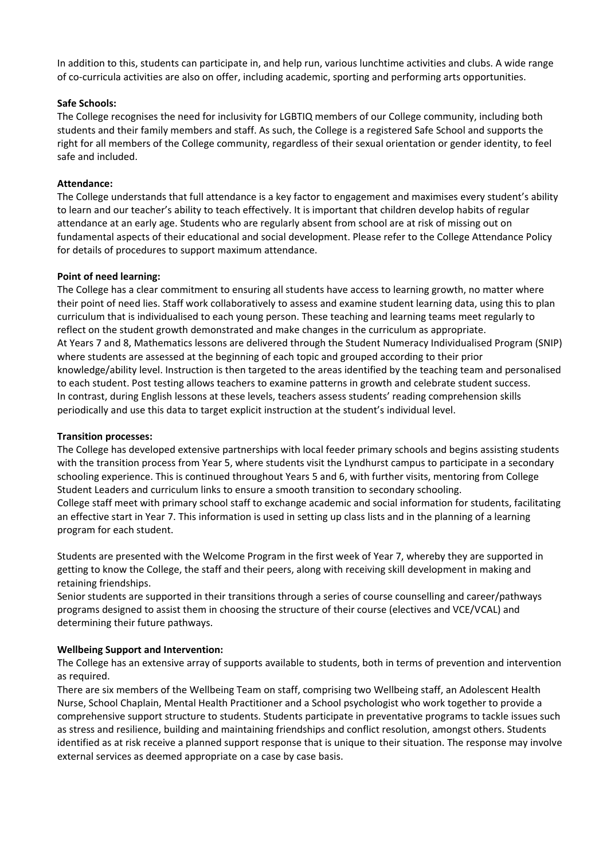In addition to this, students can participate in, and help run, various lunchtime activities and clubs. A wide range of co-curricula activities are also on offer, including academic, sporting and performing arts opportunities.

#### **Safe Schools:**

The College recognises the need for inclusivity for LGBTIQ members of our College community, including both students and their family members and staff. As such, the College is a registered Safe School and supports the right for all members of the College community, regardless of their sexual orientation or gender identity, to feel safe and included.

#### **Attendance:**

The College understands that full attendance is a key factor to engagement and maximises every student's ability to learn and our teacher's ability to teach effectively. It is important that children develop habits of regular attendance at an early age. Students who are regularly absent from school are at risk of missing out on fundamental aspects of their educational and social development. Please refer to the College Attendance Policy for details of procedures to support maximum attendance.

#### **Point of need learning:**

The College has a clear commitment to ensuring all students have access to learning growth, no matter where their point of need lies. Staff work collaboratively to assess and examine student learning data, using this to plan curriculum that is individualised to each young person. These teaching and learning teams meet regularly to reflect on the student growth demonstrated and make changes in the curriculum as appropriate. At Years 7 and 8, Mathematics lessons are delivered through the Student Numeracy Individualised Program (SNIP) where students are assessed at the beginning of each topic and grouped according to their prior knowledge/ability level. Instruction is then targeted to the areas identified by the teaching team and personalised to each student. Post testing allows teachers to examine patterns in growth and celebrate student success. In contrast, during English lessons at these levels, teachers assess students' reading comprehension skills periodically and use this data to target explicit instruction at the student's individual level.

#### **Transition processes:**

The College has developed extensive partnerships with local feeder primary schools and begins assisting students with the transition process from Year 5, where students visit the Lyndhurst campus to participate in a secondary schooling experience. This is continued throughout Years 5 and 6, with further visits, mentoring from College Student Leaders and curriculum links to ensure a smooth transition to secondary schooling. College staff meet with primary school staff to exchange academic and social information for students, facilitating an effective start in Year 7. This information is used in setting up class lists and in the planning of a learning program for each student.

Students are presented with the Welcome Program in the first week of Year 7, whereby they are supported in getting to know the College, the staff and their peers, along with receiving skill development in making and retaining friendships.

Senior students are supported in their transitions through a series of course counselling and career/pathways programs designed to assist them in choosing the structure of their course (electives and VCE/VCAL) and determining their future pathways.

#### **Wellbeing Support and Intervention:**

The College has an extensive array of supports available to students, both in terms of prevention and intervention as required.

There are six members of the Wellbeing Team on staff, comprising two Wellbeing staff, an Adolescent Health Nurse, School Chaplain, Mental Health Practitioner and a School psychologist who work together to provide a comprehensive support structure to students. Students participate in preventative programs to tackle issues such as stress and resilience, building and maintaining friendships and conflict resolution, amongst others. Students identified as at risk receive a planned support response that is unique to their situation. The response may involve external services as deemed appropriate on a case by case basis.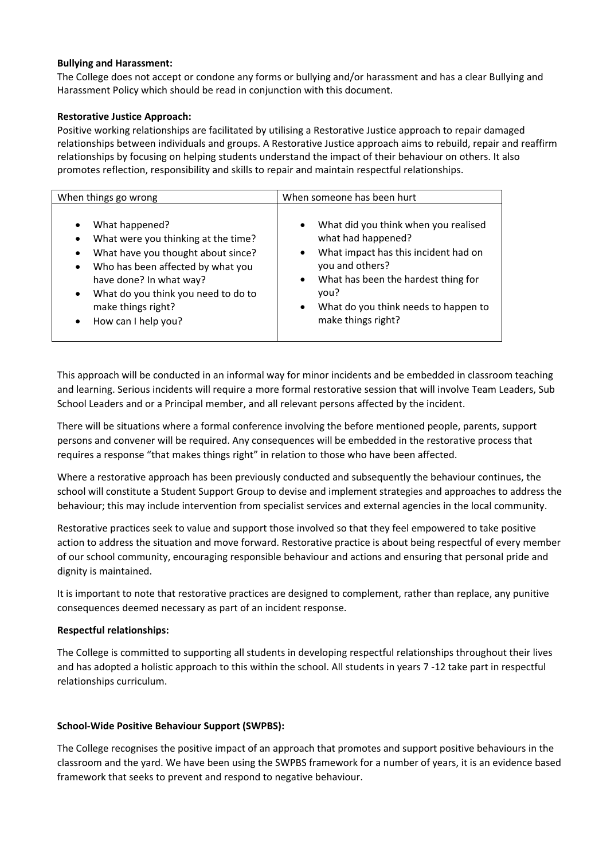#### **Bullying and Harassment:**

The College does not accept or condone any forms or bullying and/or harassment and has a clear Bullying and Harassment Policy which should be read in conjunction with this document.

#### **Restorative Justice Approach:**

Positive working relationships are facilitated by utilising a Restorative Justice approach to repair damaged relationships between individuals and groups. A Restorative Justice approach aims to rebuild, repair and reaffirm relationships by focusing on helping students understand the impact of their behaviour on others. It also promotes reflection, responsibility and skills to repair and maintain respectful relationships.

| When things go wrong                                                                                                                                                                                                                                                                                                          | When someone has been hurt                                                                                                                                                                                                                                                             |
|-------------------------------------------------------------------------------------------------------------------------------------------------------------------------------------------------------------------------------------------------------------------------------------------------------------------------------|----------------------------------------------------------------------------------------------------------------------------------------------------------------------------------------------------------------------------------------------------------------------------------------|
| What happened?<br>$\bullet$<br>What were you thinking at the time?<br>$\bullet$<br>What have you thought about since?<br>$\bullet$<br>Who has been affected by what you<br>$\bullet$<br>have done? In what way?<br>What do you think you need to do to<br>$\bullet$<br>make things right?<br>How can I help you?<br>$\bullet$ | What did you think when you realised<br>$\bullet$<br>what had happened?<br>What impact has this incident had on<br>$\bullet$<br>you and others?<br>What has been the hardest thing for<br>$\bullet$<br>vou?<br>What do you think needs to happen to<br>$\bullet$<br>make things right? |

This approach will be conducted in an informal way for minor incidents and be embedded in classroom teaching and learning. Serious incidents will require a more formal restorative session that will involve Team Leaders, Sub School Leaders and or a Principal member, and all relevant persons affected by the incident.

There will be situations where a formal conference involving the before mentioned people, parents, support persons and convener will be required. Any consequences will be embedded in the restorative process that requires a response "that makes things right" in relation to those who have been affected.

Where a restorative approach has been previously conducted and subsequently the behaviour continues, the school will constitute a Student Support Group to devise and implement strategies and approaches to address the behaviour; this may include intervention from specialist services and external agencies in the local community.

Restorative practices seek to value and support those involved so that they feel empowered to take positive action to address the situation and move forward. Restorative practice is about being respectful of every member of our school community, encouraging responsible behaviour and actions and ensuring that personal pride and dignity is maintained.

It is important to note that restorative practices are designed to complement, rather than replace, any punitive consequences deemed necessary as part of an incident response.

#### **Respectful relationships:**

The College is committed to supporting all students in developing respectful relationships throughout their lives and has adopted a holistic approach to this within the school. All students in years 7 -12 take part in respectful relationships curriculum.

#### **School-Wide Positive Behaviour Support (SWPBS):**

The College recognises the positive impact of an approach that promotes and support positive behaviours in the classroom and the yard. We have been using the SWPBS framework for a number of years, it is an evidence based framework that seeks to prevent and respond to negative behaviour.